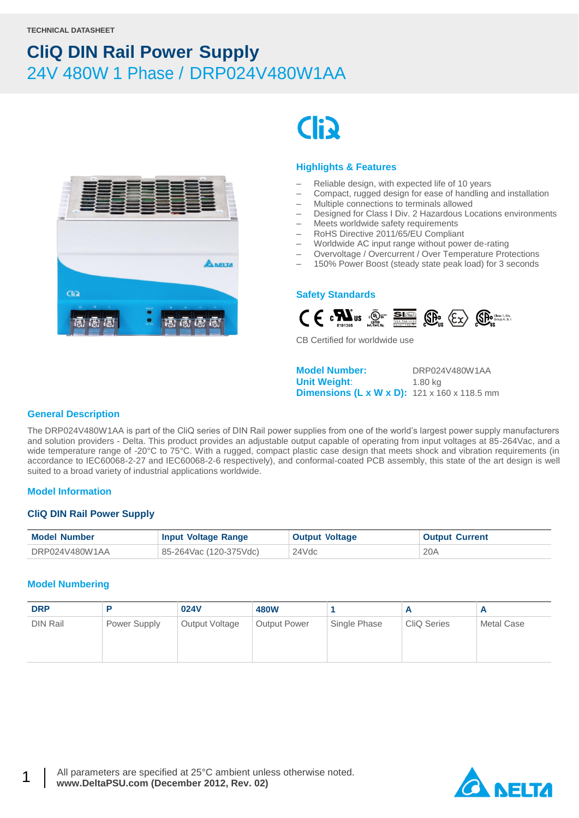

# **Clip**

#### **Highlights & Features**

- Reliable design, with expected life of 10 years
- Compact, rugged design for ease of handling and installation
- Multiple connections to terminals allowed
- Designed for Class I Div. 2 Hazardous Locations environments
- Meets worldwide safety requirements
- RoHS Directive 2011/65/EU Compliant
- Worldwide AC input range without power de-rating
- Overvoltage / Overcurrent / Over Temperature Protections
- 150% Power Boost (steady state peak load) for 3 seconds

#### **Safety Standards**



CB Certified for worldwide use

**Model Number:** DRP024V480W1AA **Unit Weight:** 1.80 kg **Dimensions (L x W x D):** 121 x 160 x 118.5 mm

#### **General Description**

The DRP024V480W1AA is part of the CliQ series of DIN Rail power supplies from one of the world's largest power supply manufacturers and solution providers - Delta. This product provides an adjustable output capable of operating from input voltages at 85-264Vac, and a wide temperature range of -20°C to 75°C. With a rugged, compact plastic case design that meets shock and vibration requirements (in accordance to IEC60068-2-27 and IEC60068-2-6 respectively), and conformal-coated PCB assembly, this state of the art design is well suited to a broad variety of industrial applications worldwide.

#### **Model Information**

#### **CliQ DIN Rail Power Supply**

| <b>Model Number</b> | <b>Input Voltage Range</b> | <b>Output Voltage</b> | <b>Output Current</b> |
|---------------------|----------------------------|-----------------------|-----------------------|
| DRP024V480W1AA      | 85-264Vac (120-375Vdc)     | 24Vdc                 | 20A                   |

#### **Model Numbering**

1

| <b>DRP</b> |              | 024V           | <b>480W</b>         |              |                    |            |
|------------|--------------|----------------|---------------------|--------------|--------------------|------------|
| DIN Rail   | Power Supply | Output Voltage | <b>Output Power</b> | Single Phase | <b>CliQ Series</b> | Metal Case |

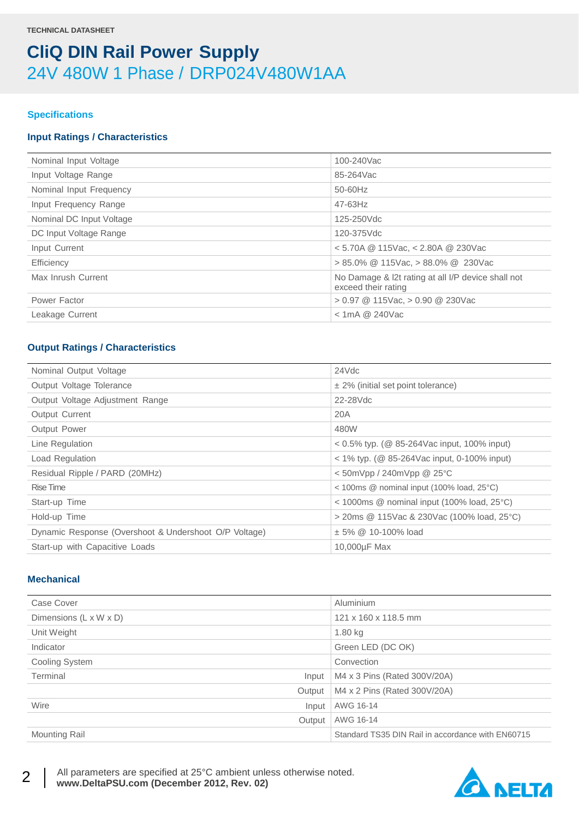#### **Specifications**

#### **Input Ratings / Characteristics**

| Nominal Input Voltage    | 100-240Vac                                                                |
|--------------------------|---------------------------------------------------------------------------|
| Input Voltage Range      | 85-264Vac                                                                 |
| Nominal Input Frequency  | 50-60Hz                                                                   |
| Input Frequency Range    | $47 - 63$ Hz                                                              |
| Nominal DC Input Voltage | 125-250Vdc                                                                |
| DC Input Voltage Range   | 120-375Vdc                                                                |
| Input Current            | $<$ 5.70A @ 115Vac, $<$ 2.80A @ 230Vac                                    |
| Efficiency               | $> 85.0\%$ @ 115Vac, $> 88.0\%$ @ 230Vac                                  |
| Max Inrush Current       | No Damage & I2t rating at all I/P device shall not<br>exceed their rating |
| Power Factor             | $> 0.97$ @ 115Vac, $> 0.90$ @ 230Vac                                      |
| Leakage Current          | $<$ 1mA @ 240Vac                                                          |
|                          |                                                                           |

#### **Output Ratings / Characteristics**

| Nominal Output Voltage                                | 24Vdc                                                                         |
|-------------------------------------------------------|-------------------------------------------------------------------------------|
| Output Voltage Tolerance                              | $\pm$ 2% (initial set point tolerance)                                        |
| Output Voltage Adjustment Range                       | 22-28Vdc                                                                      |
| <b>Output Current</b>                                 | 20A                                                                           |
| Output Power                                          | 480W                                                                          |
| Line Regulation                                       | $0.5\%$ typ. (@ 85-264Vac input, 100% input)                                  |
| Load Regulation                                       | $<$ 1% typ. ( $\circledcirc$ 85-264Vac input, 0-100% input)                   |
| Residual Ripple / PARD (20MHz)                        | $<$ 50mVpp / 240mVpp @ 25 $°C$                                                |
| Rise Time                                             | $<$ 100ms $\circledcirc$ nominal input (100% load, 25 $\circ$ C)              |
| Start-up Time                                         | $<$ 1000ms $\textcircled{a}$ nominal input (100% load, 25 $\textcircled{c}$ ) |
| Hold-up Time                                          | > 20ms @ 115Vac & 230Vac (100% load, 25°C)                                    |
| Dynamic Response (Overshoot & Undershoot O/P Voltage) | $± 5\% @ 10-100\%$ load                                                       |
| Start-up with Capacitive Loads                        | 10,000µF Max                                                                  |
|                                                       |                                                                               |

#### **Mechanical**

2

| Case Cover             | Aluminium                                         |
|------------------------|---------------------------------------------------|
| Dimensions (L x W x D) | 121 x 160 x 118.5 mm                              |
| Unit Weight            | $1.80$ kg                                         |
| Indicator              | Green LED (DC OK)                                 |
| Cooling System         | Convection                                        |
| Terminal<br>Input      | M4 x 3 Pins (Rated 300V/20A)                      |
| Output                 | M4 x 2 Pins (Rated 300V/20A)                      |
| Wire<br>Input          | AWG 16-14                                         |
| Output                 | AWG 16-14                                         |
| <b>Mounting Rail</b>   | Standard TS35 DIN Rail in accordance with EN60715 |

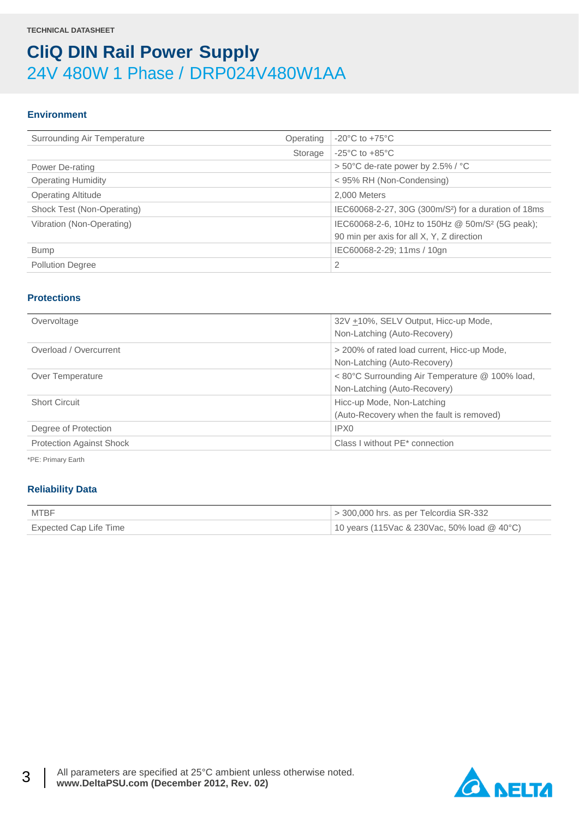#### **Environment**

| Surrounding Air Temperature | Operating | $-20^{\circ}$ C to $+75^{\circ}$ C                               |
|-----------------------------|-----------|------------------------------------------------------------------|
|                             | Storage   | $-25^{\circ}$ C to $+85^{\circ}$ C                               |
| Power De-rating             |           | $> 50^{\circ}$ C de-rate power by 2.5% / $^{\circ}$ C            |
| <b>Operating Humidity</b>   |           | < 95% RH (Non-Condensing)                                        |
| <b>Operating Altitude</b>   |           | 2,000 Meters                                                     |
| Shock Test (Non-Operating)  |           | IEC60068-2-27, 30G (300m/S <sup>2</sup> ) for a duration of 18ms |
| Vibration (Non-Operating)   |           | IEC60068-2-6, 10Hz to 150Hz @ 50m/S <sup>2</sup> (5G peak);      |
|                             |           | 90 min per axis for all X, Y, Z direction                        |
| <b>Bump</b>                 |           | IEC60068-2-29; 11ms / 10gn                                       |
| <b>Pollution Degree</b>     |           | 2                                                                |

#### **Protections**

| Overvoltage                     | 32V +10%, SELV Output, Hicc-up Mode,<br>Non-Latching (Auto-Recovery)            |
|---------------------------------|---------------------------------------------------------------------------------|
| Overload / Overcurrent          | > 200% of rated load current, Hicc-up Mode,<br>Non-Latching (Auto-Recovery)     |
| Over Temperature                | < 80°C Surrounding Air Temperature @ 100% load,<br>Non-Latching (Auto-Recovery) |
| <b>Short Circuit</b>            | Hicc-up Mode, Non-Latching<br>(Auto-Recovery when the fault is removed)         |
| Degree of Protection            | IPX0                                                                            |
| <b>Protection Against Shock</b> | Class I without PE* connection                                                  |

\*PE: Primary Earth

#### **Reliability Data**

| MTBF                   | $>$ 300,000 hrs. as per Telcordia SR-332      |
|------------------------|-----------------------------------------------|
| Expected Cap Life Time | 10 years (115Vac & 230Vac, 50% load $@$ 40°C) |

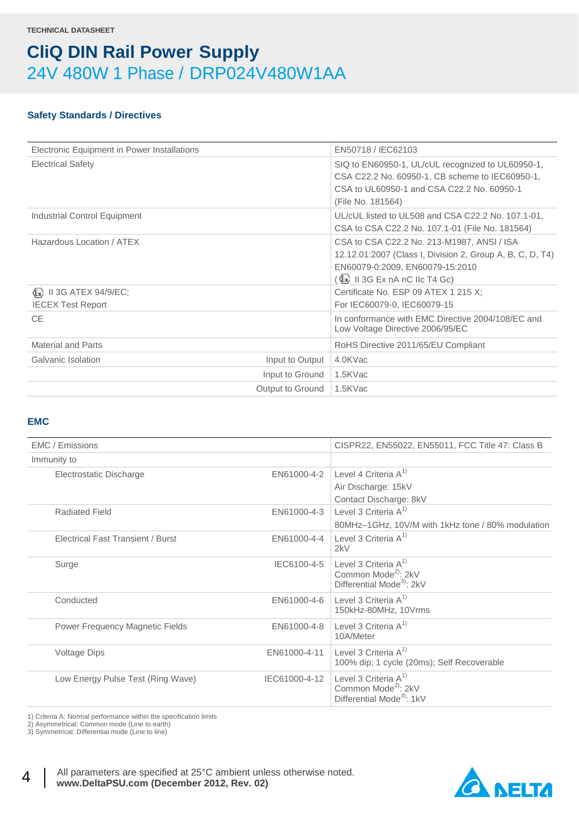#### **Safety Standards / Directives**

| Electronic Equipment in Power Installations          | EN50718 / IEC62103                                                                                                                                                                                   |
|------------------------------------------------------|------------------------------------------------------------------------------------------------------------------------------------------------------------------------------------------------------|
| <b>Electrical Safety</b>                             | SIQ to EN60950-1, UL/cUL recognized to UL60950-1,<br>CSA C22.2 No. 60950-1, CB scheme to IEC60950-1,<br>CSA to UL60950-1 and CSA C22.2 No. 60950-1<br>(File No. 181564)                              |
| Industrial Control Equipment                         | UL/cUL listed to UL508 and CSA C22.2 No. 107.1-01.<br>CSA to CSA C22.2 No. 107.1-01 (File No. 181564)                                                                                                |
| Hazardous Location / ATEX                            | CSA to CSA C22.2 No. 213-M1987, ANSI / ISA<br>12.12.01:2007 (Class I, Division 2, Group A, B, C, D, T4)<br>EN60079-0:2009, EN60079-15:2010<br>( $\overline{\mathbb{E}}$ x) II 3G Ex nA nC IIc T4 Gc) |
| (Ex) II 3G ATEX 94/9/EC;<br><b>IECEX Test Report</b> | Certificate No. ESP 09 ATEX 1 215 X;<br>For IEC60079-0, IEC60079-15                                                                                                                                  |
| CE.                                                  | In conformance with EMC Directive 2004/108/EC and<br>Low Voltage Directive 2006/95/EC                                                                                                                |
| Material and Parts                                   | RoHS Directive 2011/65/EU Compliant                                                                                                                                                                  |
| Galvanic Isolation<br>Input to Output                | 4.0KVac                                                                                                                                                                                              |
| Input to Ground                                      | 1.5KVac                                                                                                                                                                                              |
| Output to Ground                                     | 1.5KVac                                                                                                                                                                                              |

#### **EMC**

| EMC / Emissions                          |               | CISPR22, EN55022, EN55011, FCC Title 47: Class B                                                     |
|------------------------------------------|---------------|------------------------------------------------------------------------------------------------------|
| Immunity to                              |               |                                                                                                      |
| Electrostatic Discharge                  | EN61000-4-2   | Level 4 Criteria $A^{1}$<br>Air Discharge: 15kV<br>Contact Discharge: 8kV                            |
| <b>Radiated Field</b>                    | EN61000-4-3   | Level 3 Criteria $A^{1}$<br>80MHz-1GHz, 10V/M with 1kHz tone / 80% modulation                        |
| <b>Electrical Fast Transient / Burst</b> | FN61000-4-4   | Level 3 Criteria $A^{1}$<br>2kV                                                                      |
| Surge                                    | IEC6100-4-5   | Level 3 Criteria $A^{1}$<br>Common Mode <sup>2)</sup> : 2kV<br>Differential Mode <sup>3)</sup> : 2kV |
| Conducted                                | EN61000-4-6   | Level 3 Criteria $A^{1}$<br>150kHz-80MHz, 10Vrms                                                     |
| Power Frequency Magnetic Fields          | EN61000-4-8   | Level 3 Criteria $A^{1}$<br>10A/Meter                                                                |
| <b>Voltage Dips</b>                      | EN61000-4-11  | Level 3 Criteria $A^{1}$<br>100% dip; 1 cycle (20ms); Self Recoverable                               |
| Low Energy Pulse Test (Ring Wave)        | IEC61000-4-12 | Level 3 Criteria $A^{1}$<br>Common Mode <sup>2)</sup> : 2kV<br>Differential Mode <sup>3</sup> : 1kV  |

1) Criteria A: Normal performance within the specification limits

2) Asymmetrical: Common mode (Line to earth)

3) Symmetrical: Differential mode (Line to line)



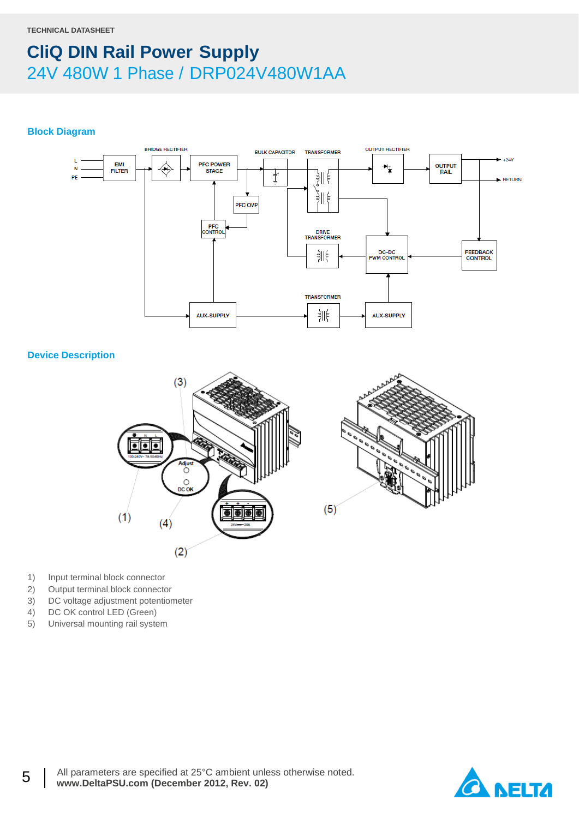#### **Block Diagram**



#### **Device Description**



- 1) Input terminal block connector
- 2) Output terminal block connector
- 3) DC voltage adjustment potentiometer
- 4) DC OK control LED (Green)
- 5) Universal mounting rail system

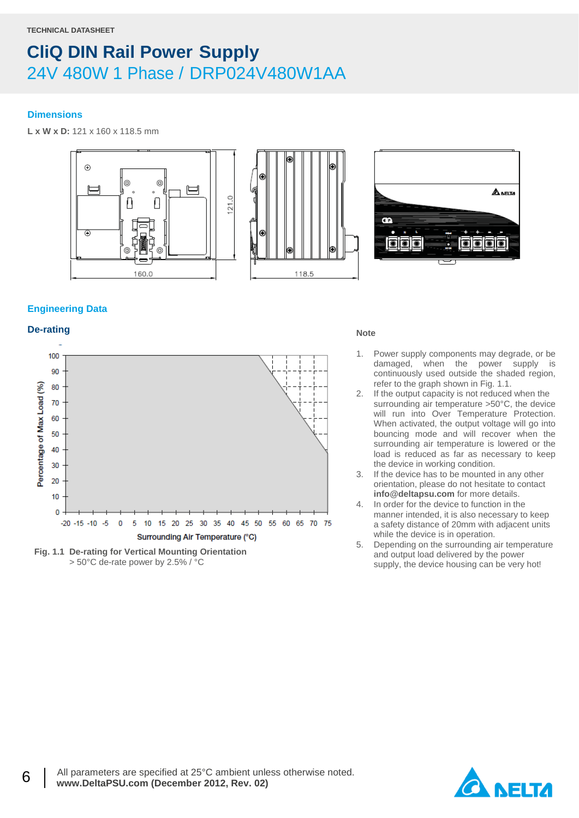#### **Dimensions**

**L x W x D:** 121 x 160 x 118.5 mm





#### **Engineering Data**

### **De-rating** Note





- 1. Power supply components may degrade, or be damaged, when the power supply is continuously used outside the shaded region, refer to the graph shown in Fig. 1.1.
- 2. If the output capacity is not reduced when the surrounding air temperature >50°C, the device will run into Over Temperature Protection. When activated, the output voltage will go into bouncing mode and will recover when the surrounding air temperature is lowered or the load is reduced as far as necessary to keep the device in working condition.
- 3. If the device has to be mounted in any other orientation, please do not hesitate to contact **info@deltapsu.com** for more details.
- 4. In order for the device to function in the manner intended, it is also necessary to keep a safety distance of 20mm with adjacent units while the device is in operation.
- 5. Depending on the surrounding air temperature and output load delivered by the power supply, the device housing can be very hot!

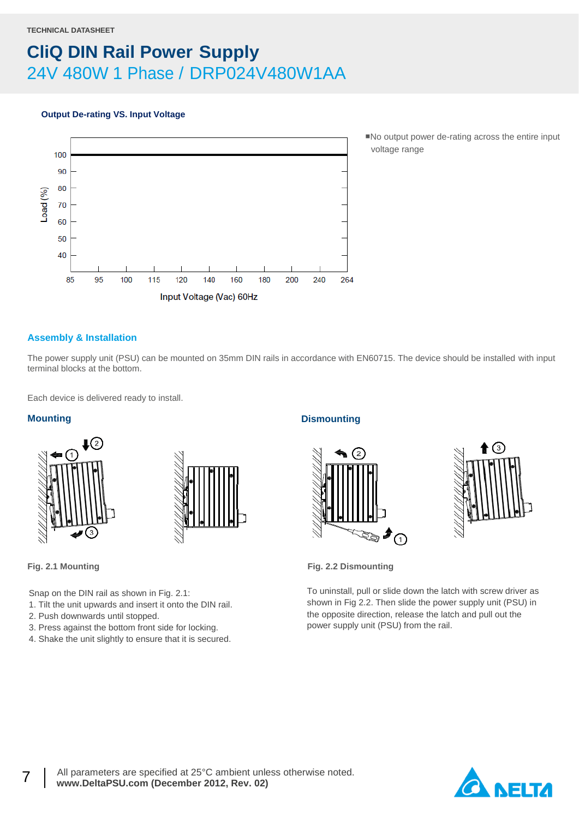#### **Output De-rating VS. Input Voltage**



■No output power de-rating across the entire input voltage range

#### **Assembly & Installation**

The power supply unit (PSU) can be mounted on 35mm DIN rails in accordance with EN60715. The device should be installed with input terminal blocks at the bottom.

Each device is delivered ready to install.

#### **Mounting**





7

Snap on the DIN rail as shown in Fig. 2.1:

- 1. Tilt the unit upwards and insert it onto the DIN rail.
- 2. Push downwards until stopped.
- 3. Press against the bottom front side for locking.
- 4. Shake the unit slightly to ensure that it is secured.

#### **Dismounting**





**Fig. 2.1 Mounting Fig. 2.2 Dismounting**

To uninstall, pull or slide down the latch with screw driver as shown in Fig 2.2. Then slide the power supply unit (PSU) in the opposite direction, release the latch and pull out the power supply unit (PSU) from the rail.

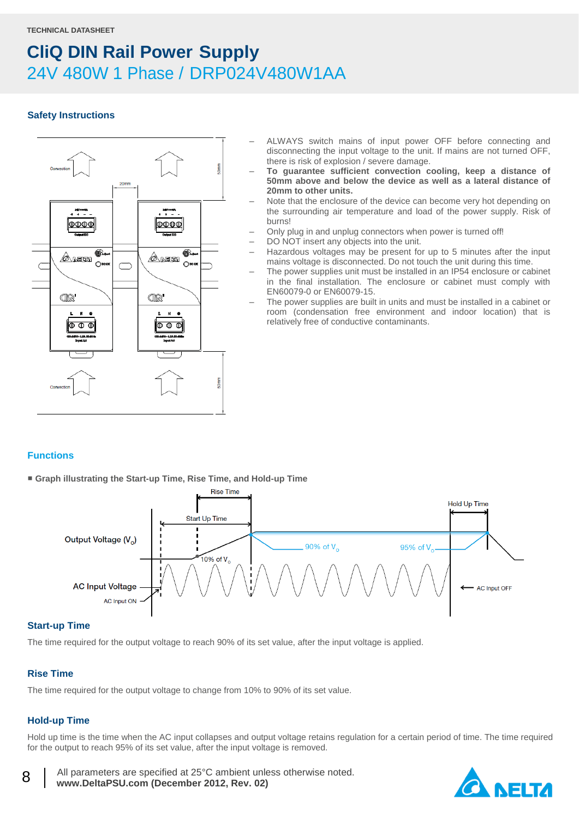#### **Safety Instructions**



- ALWAYS switch mains of input power OFF before connecting and disconnecting the input voltage to the unit. If mains are not turned OFF, there is risk of explosion / severe damage.
- **To guarantee sufficient convection cooling, keep a distance of 50mm above and below the device as well as a lateral distance of 20mm to other units.**
- Note that the enclosure of the device can become very hot depending on the surrounding air temperature and load of the power supply. Risk of burns!
- Only plug in and unplug connectors when power is turned off!
- DO NOT insert any objects into the unit.
- Hazardous voltages may be present for up to 5 minutes after the input mains voltage is disconnected. Do not touch the unit during this time.
- The power supplies unit must be installed in an IP54 enclosure or cabinet in the final installation. The enclosure or cabinet must comply with EN60079-0 or EN60079-15.
- The power supplies are built in units and must be installed in a cabinet or room (condensation free environment and indoor location) that is relatively free of conductive contaminants.

#### **Functions**

■ **Graph illustrating the Start-up Time, Rise Time, and Hold-up Time**



#### **Start-up Time**

The time required for the output voltage to reach 90% of its set value, after the input voltage is applied.

#### **Rise Time**

The time required for the output voltage to change from 10% to 90% of its set value.

#### **Hold-up Time**

8

Hold up time is the time when the AC input collapses and output voltage retains regulation for a certain period of time. The time required for the output to reach 95% of its set value, after the input voltage is removed.

 All parameters are specified at 25°C ambient unless otherwise noted.  **www.DeltaPSU.com (December 2012, Rev. 02)**

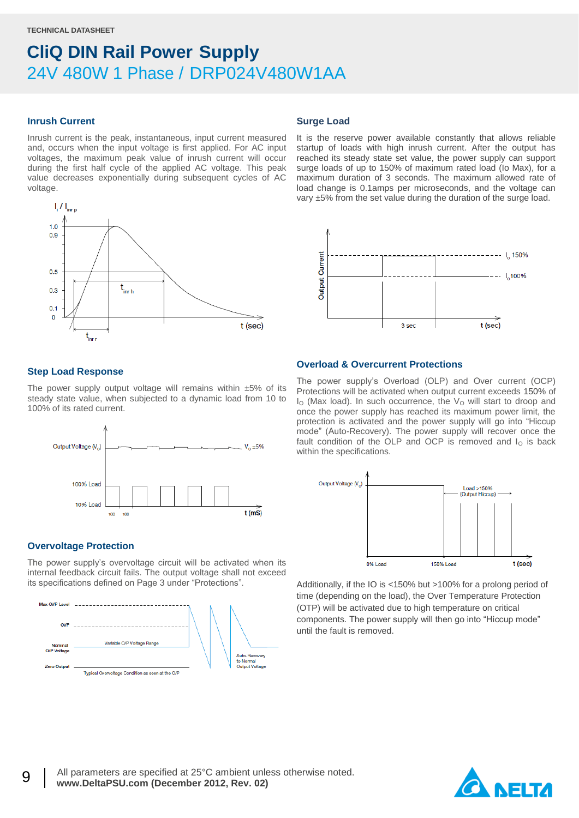#### **Inrush Current**

Inrush current is the peak, instantaneous, input current measured and, occurs when the input voltage is first applied. For AC input voltages, the maximum peak value of inrush current will occur during the first half cycle of the applied AC voltage. This peak value decreases exponentially during subsequent cycles of AC voltage.



#### **Surge Load**

It is the reserve power available constantly that allows reliable startup of loads with high inrush current. After the output has reached its steady state set value, the power supply can support surge loads of up to 150% of maximum rated load (Io Max), for a maximum duration of 3 seconds. The maximum allowed rate of load change is 0.1amps per microseconds, and the voltage can vary ±5% from the set value during the duration of the surge load.



#### **Step Load Response**

The power supply output voltage will remains within  $±5\%$  of its steady state value, when subjected to a dynamic load from 10 to 100% of its rated current.



#### **Overvoltage Protection**

The power supply's overvoltage circuit will be activated when its internal feedback circuit fails. The output voltage shall not exceed its specifications defined on Page 3 under "Protections".



#### **Overload & Overcurrent Protections**

The power supply's Overload (OLP) and Over current (OCP) Protections will be activated when output current exceeds 150% of  $I<sub>O</sub>$  (Max load). In such occurrence, the  $V<sub>O</sub>$  will start to droop and once the power supply has reached its maximum power limit, the protection is activated and the power supply will go into "Hiccup mode" (Auto-Recovery). The power supply will recover once the fault condition of the OLP and OCP is removed and  $I<sub>O</sub>$  is back within the specifications.



Additionally, if the IO is <150% but >100% for a prolong period of time (depending on the load), the Over Temperature Protection (OTP) will be activated due to high temperature on critical components. The power supply will then go into "Hiccup mode" until the fault is removed.

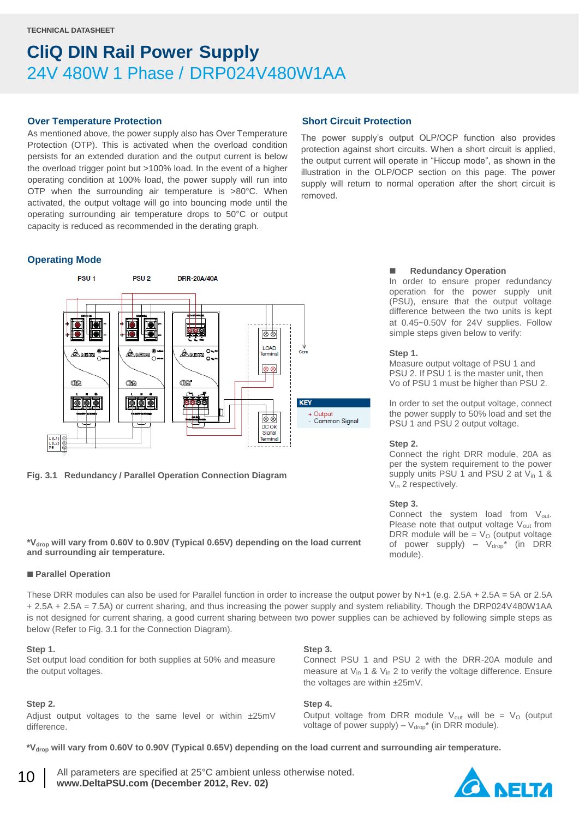#### **Over Temperature Protection**

As mentioned above, the power supply also has Over Temperature Protection (OTP). This is activated when the overload condition persists for an extended duration and the output current is below the overload trigger point but >100% load. In the event of a higher operating condition at 100% load, the power supply will run into OTP when the surrounding air temperature is >80°C. When activated, the output voltage will go into bouncing mode until the operating surrounding air temperature drops to 50°C or output capacity is reduced as recommended in the derating graph.

#### **Operating Mode**



**Fig. 3.1 Redundancy / Parallel Operation Connection Diagram**

#### **\*Vdrop will vary from 0.60V to 0.90V (Typical 0.65V) depending on the load current and surrounding air temperature.**

#### **Parallel Operation**

These DRR modules can also be used for Parallel function in order to increase the output power by N+1 (e.g. 2.5A + 2.5A = 5A or 2.5A + 2.5A + 2.5A = 7.5A) or current sharing, and thus increasing the power supply and system reliability. Though the DRP024V480W1AA is not designed for current sharing, a good current sharing between two power supplies can be achieved by following simple steps as below (Refer to Fig. 3.1 for the Connection Diagram).

#### **Step 1.**

Set output load condition for both supplies at 50% and measure the output voltages.

#### **Step 2.**

Adjust output voltages to the same level or within ±25mV difference.

#### **Short Circuit Protection**

The power supply's output OLP/OCP function also provides protection against short circuits. When a short circuit is applied, the output current will operate in "Hiccup mode", as shown in the illustration in the OLP/OCP section on this page. The power supply will return to normal operation after the short circuit is removed.

#### **Redundancy Operation**

In order to ensure proper redundancy operation for the power supply unit (PSU), ensure that the output voltage difference between the two units is kept at 0.45~0.50V for 24V supplies. Follow simple steps given below to verify:

#### **Step 1.**

Measure output voltage of PSU 1 and PSU 2. If PSU 1 is the master unit, then Vo of PSU 1 must be higher than PSU 2.

In order to set the output voltage, connect the power supply to 50% load and set the PSU 1 and PSU 2 output voltage.

#### **Step 2.**

Connect the right DRR module, 20A as per the system requirement to the power supply units PSU 1 and PSU 2 at  $V_{in}$  1 & V<sub>in</sub> 2 respectively.

#### **Step 3.**

Connect the system load from  $V_{\text{out}}$ . Please note that output voltage  $V_{out}$  from DRR module will be =  $V<sub>O</sub>$  (output voltage of power supply) –  $V_{drop}^*$  (in DRR module).

#### **Step 3.**

Connect PSU 1 and PSU 2 with the DRR-20A module and measure at  $V_{in}$  1 &  $V_{in}$  2 to verify the voltage difference. Ensure the voltages are within ±25mV.

#### **Step 4.**

Output voltage from DRR module  $V_{\text{out}}$  will be =  $V_{\text{O}}$  (output voltage of power supply) –  $V_{drop}^*$  (in DRR module).

**\*Vdrop will vary from 0.60V to 0.90V (Typical 0.65V) depending on the load current and surrounding air temperature.**